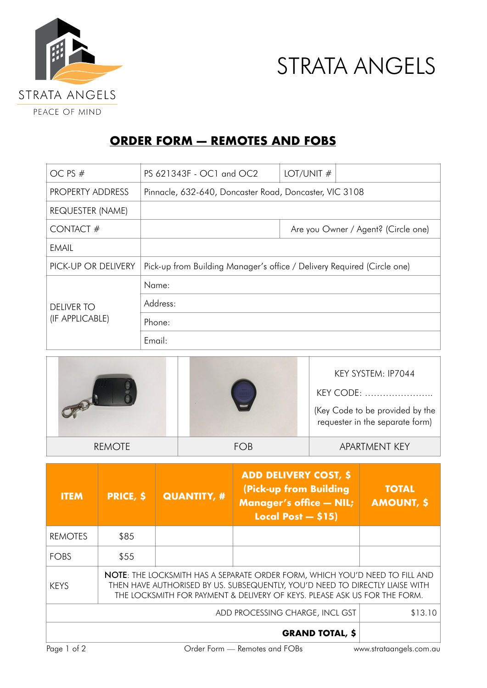



## **ORDER FORM — REMOTES AND FOBS**

| OC PS #                              | PS 621343F - OC1 and OC2                                                | LOT/UNIT $#$                        |  |  |
|--------------------------------------|-------------------------------------------------------------------------|-------------------------------------|--|--|
| <b>PROPERTY ADDRESS</b>              | Pinnacle, 632-640, Doncaster Road, Doncaster, VIC 3108                  |                                     |  |  |
| REQUESTER (NAME)                     |                                                                         |                                     |  |  |
| CONTACT#                             |                                                                         | Are you Owner / Agent? (Circle one) |  |  |
| <b>EMAIL</b>                         |                                                                         |                                     |  |  |
| PICK-UP OR DELIVERY                  | Pick-up from Building Manager's office / Delivery Required (Circle one) |                                     |  |  |
|                                      | Name:                                                                   |                                     |  |  |
| <b>DELIVER TO</b><br>(IF APPLICABLE) | Address:                                                                |                                     |  |  |
|                                      | Phone:                                                                  |                                     |  |  |
|                                      | Email:                                                                  |                                     |  |  |

|               |     | KEY SYSTEM: IP7044<br>KEY CODE:<br>(Key Code to be provided by the<br>requester in the separate form) |
|---------------|-----|-------------------------------------------------------------------------------------------------------|
| <b>REMOTE</b> | FOB | <b>APARTMENT KEY</b>                                                                                  |

| <b>ITEM</b>                                                                                                                                                                                                                                                    | <b>PRICE, \$</b> | <b>QUANTITY, #</b> | <b>ADD DELIVERY COST, \$</b><br>(Pick-up from Building<br><b>Manager's office - NIL;</b><br>Local Post $-$ \$15) | <b>TOTAL</b><br><b>AMOUNT, \$</b> |  |
|----------------------------------------------------------------------------------------------------------------------------------------------------------------------------------------------------------------------------------------------------------------|------------------|--------------------|------------------------------------------------------------------------------------------------------------------|-----------------------------------|--|
| <b>REMOTES</b>                                                                                                                                                                                                                                                 | \$85             |                    |                                                                                                                  |                                   |  |
| <b>FOBS</b>                                                                                                                                                                                                                                                    | \$55             |                    |                                                                                                                  |                                   |  |
| <b>NOTE:</b> THE LOCKSMITH HAS A SEPARATE ORDER FORM, WHICH YOU'D NEED TO FILL AND<br>THEN HAVE AUTHORISED BY US. SUBSEQUENTLY, YOU'D NEED TO DIRECTLY LIAISE WITH<br><b>KFYS</b><br>THE LOCKSMITH FOR PAYMENT & DELIVERY OF KEYS. PLEASE ASK US FOR THE FORM. |                  |                    |                                                                                                                  |                                   |  |
|                                                                                                                                                                                                                                                                | \$13.10          |                    |                                                                                                                  |                                   |  |
|                                                                                                                                                                                                                                                                |                  |                    |                                                                                                                  |                                   |  |